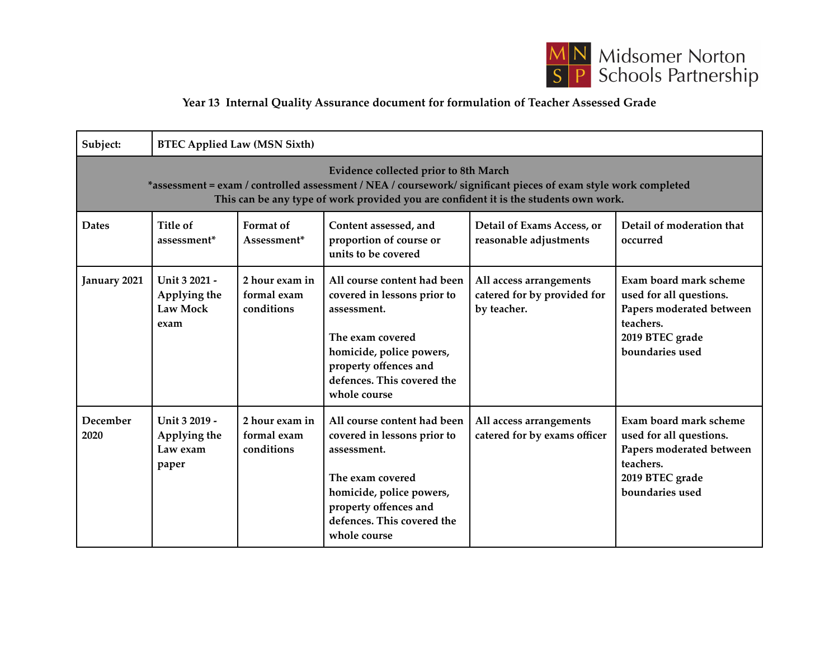

## **Year 13 Internal Quality Assurance document for formulation of Teacher Assessed Grade**

| Subject:                                                                                                                                                                                                                                        | <b>BTEC Applied Law (MSN Sixth)</b>                |                                             |                                                                                                                                                                                                  |                                                                       |                                                                                                                                  |  |  |  |  |
|-------------------------------------------------------------------------------------------------------------------------------------------------------------------------------------------------------------------------------------------------|----------------------------------------------------|---------------------------------------------|--------------------------------------------------------------------------------------------------------------------------------------------------------------------------------------------------|-----------------------------------------------------------------------|----------------------------------------------------------------------------------------------------------------------------------|--|--|--|--|
| Evidence collected prior to 8th March<br>*assessment = exam / controlled assessment / NEA / coursework/ significant pieces of exam style work completed<br>This can be any type of work provided you are confident it is the students own work. |                                                    |                                             |                                                                                                                                                                                                  |                                                                       |                                                                                                                                  |  |  |  |  |
| <b>Dates</b>                                                                                                                                                                                                                                    | Title of<br>assessment*                            | Format of<br>Assessment*                    | Content assessed, and<br>proportion of course or<br>units to be covered                                                                                                                          | Detail of Exams Access, or<br>reasonable adjustments                  | Detail of moderation that<br>occurred                                                                                            |  |  |  |  |
| January 2021                                                                                                                                                                                                                                    | Unit 3 2021 -<br>Applying the<br>Law Mock<br>exam  | 2 hour exam in<br>formal exam<br>conditions | All course content had been<br>covered in lessons prior to<br>assessment.<br>The exam covered<br>homicide, police powers,<br>property offences and<br>defences. This covered the<br>whole course | All access arrangements<br>catered for by provided for<br>by teacher. | Exam board mark scheme<br>used for all questions.<br>Papers moderated between<br>teachers.<br>2019 BTEC grade<br>boundaries used |  |  |  |  |
| December<br>2020                                                                                                                                                                                                                                | Unit 3 2019 -<br>Applying the<br>Law exam<br>paper | 2 hour exam in<br>formal exam<br>conditions | All course content had been<br>covered in lessons prior to<br>assessment.<br>The exam covered<br>homicide, police powers,<br>property offences and<br>defences. This covered the<br>whole course | All access arrangements<br>catered for by exams officer               | Exam board mark scheme<br>used for all questions.<br>Papers moderated between<br>teachers.<br>2019 BTEC grade<br>boundaries used |  |  |  |  |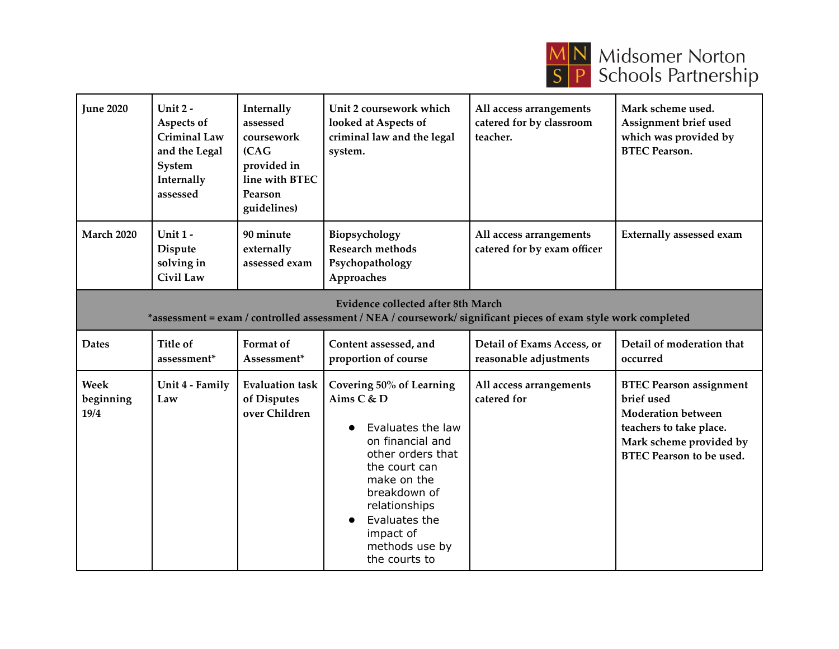

| <b>June 2020</b>                                                                                                                                            | Unit 2 -<br>Aspects of<br><b>Criminal Law</b><br>and the Legal<br>System<br>Internally<br>assessed | Internally<br>assessed<br>coursework<br>(CAG)<br>provided in<br>line with BTEC<br>Pearson<br>guidelines) | Unit 2 coursework which<br>looked at Aspects of<br>criminal law and the legal<br>system.                                                                                                                                               | All access arrangements<br>catered for by classroom<br>teacher. | Mark scheme used.<br>Assignment brief used<br>which was provided by<br><b>BTEC Pearson.</b>                                                                        |  |  |  |
|-------------------------------------------------------------------------------------------------------------------------------------------------------------|----------------------------------------------------------------------------------------------------|----------------------------------------------------------------------------------------------------------|----------------------------------------------------------------------------------------------------------------------------------------------------------------------------------------------------------------------------------------|-----------------------------------------------------------------|--------------------------------------------------------------------------------------------------------------------------------------------------------------------|--|--|--|
| <b>March 2020</b>                                                                                                                                           | Unit 1-<br><b>Dispute</b><br>solving in<br><b>Civil Law</b>                                        | 90 minute<br>externally<br>assessed exam                                                                 | Biopsychology<br><b>Research methods</b><br>Psychopathology<br>Approaches                                                                                                                                                              | All access arrangements<br>catered for by exam officer          | <b>Externally assessed exam</b>                                                                                                                                    |  |  |  |
| <b>Evidence collected after 8th March</b><br>*assessment = exam / controlled assessment / NEA / coursework/ significant pieces of exam style work completed |                                                                                                    |                                                                                                          |                                                                                                                                                                                                                                        |                                                                 |                                                                                                                                                                    |  |  |  |
| <b>Dates</b>                                                                                                                                                | Title of<br>assessment*                                                                            | Format of<br>Assessment*                                                                                 | Content assessed, and<br>proportion of course                                                                                                                                                                                          | Detail of Exams Access, or<br>reasonable adjustments            | Detail of moderation that<br>occurred                                                                                                                              |  |  |  |
| <b>Week</b><br>beginning<br>19/4                                                                                                                            | Unit 4 - Family<br>Law                                                                             | <b>Evaluation task</b><br>of Disputes<br>over Children                                                   | Covering 50% of Learning<br>Aims C & D<br>Evaluates the law<br>on financial and<br>other orders that<br>the court can<br>make on the<br>breakdown of<br>relationships<br>Evaluates the<br>impact of<br>methods use by<br>the courts to | All access arrangements<br>catered for                          | <b>BTEC Pearson assignment</b><br>brief used<br><b>Moderation between</b><br>teachers to take place.<br>Mark scheme provided by<br><b>BTEC Pearson to be used.</b> |  |  |  |